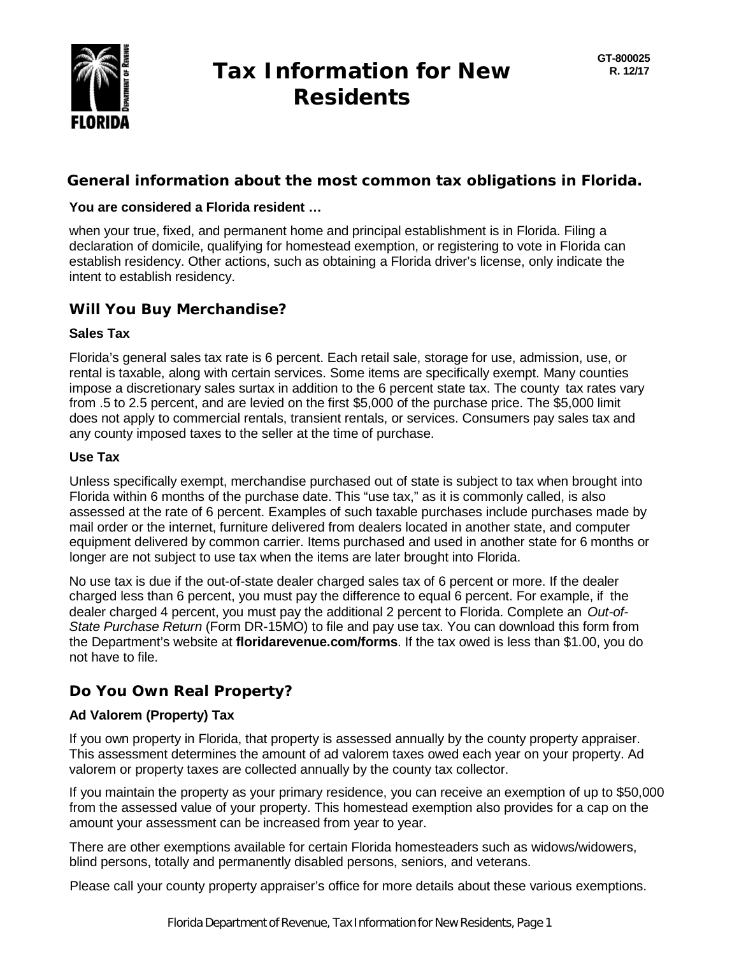

# **Tax Information for New Residents**

## **General information about the most common tax obligations in Florida.**

#### **You are considered a Florida resident …**

when your true, fixed, and permanent home and principal establishment is in Florida. Filing a declaration of domicile, qualifying for homestead exemption, or registering to vote in Florida can establish residency. Other actions, such as obtaining a Florida driver's license, only indicate the intent to establish residency.

## **Will You Buy Merchandise?**

#### **Sales Tax**

Florida's general sales tax rate is 6 percent. Each retail sale, storage for use, admission, use, or rental is taxable, along with certain services. Some items are specifically exempt. Many counties impose a discretionary sales surtax in addition to the 6 percent state tax. The county tax rates vary from .5 to 2.5 percent, and are levied on the first \$5,000 of the purchase price. The \$5,000 limit does not apply to commercial rentals, transient rentals, or services. Consumers pay sales tax and any county imposed taxes to the seller at the time of purchase.

#### **Use Tax**

Unless specifically exempt, merchandise purchased out of state is subject to tax when brought into Florida within 6 months of the purchase date. This "use tax," as it is commonly called, is also assessed at the rate of 6 percent. Examples of such taxable purchases include purchases made by mail order or the internet, furniture delivered from dealers located in another state, and computer equipment delivered by common carrier. Items purchased and used in another state for 6 months or longer are not subject to use tax when the items are later brought into Florida.

No use tax is due if the out-of-state dealer charged sales tax of 6 percent or more. If the dealer charged less than 6 percent, you must pay the difference to equal 6 percent. For example, if the dealer charged 4 percent, you must pay the additional 2 percent to Florida. Complete an *Out-of-State Purchase Return* (Form DR-15MO) to file and pay use tax. You can download this form from the Department's website at **floridarevenue.com/forms**. If the tax owed is less than \$1.00, you do not have to file.

# **Do You Own Real Property?**

## **Ad Valorem (Property) Tax**

If you own property in Florida, that property is assessed annually by the county property appraiser. This assessment determines the amount of ad valorem taxes owed each year on your property. Ad valorem or property taxes are collected annually by the county tax collector.

If you maintain the property as your primary residence, you can receive an exemption of up to \$50,000 from the assessed value of your property. This homestead exemption also provides for a cap on the amount your assessment can be increased from year to year.

There are other exemptions available for certain Florida homesteaders such as widows/widowers, blind persons, totally and permanently disabled persons, seniors, and veterans.

Please call your county property appraiser's office for more details about these various exemptions.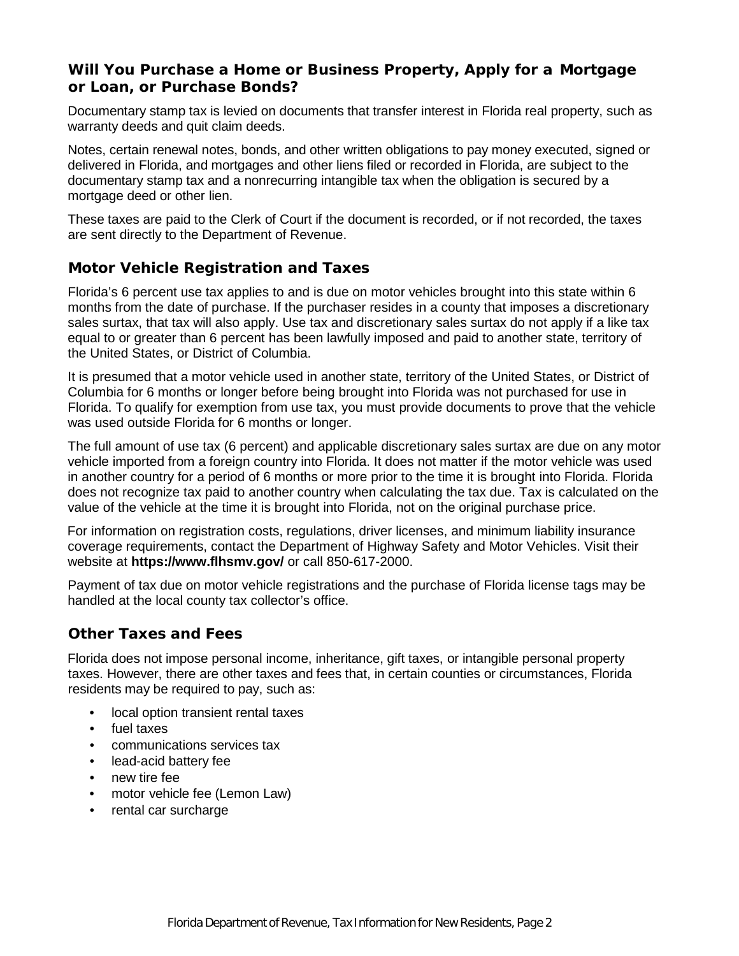## **Will You Purchase a Home or Business Property, Apply for a Mortgage or Loan, or Purchase Bonds?**

Documentary stamp tax is levied on documents that transfer interest in Florida real property, such as warranty deeds and quit claim deeds.

Notes, certain renewal notes, bonds, and other written obligations to pay money executed, signed or delivered in Florida, and mortgages and other liens filed or recorded in Florida, are subject to the documentary stamp tax and a nonrecurring intangible tax when the obligation is secured by a mortgage deed or other lien.

These taxes are paid to the Clerk of Court if the document is recorded, or if not recorded, the taxes are sent directly to the Department of Revenue.

## **Motor Vehicle Registration and Taxes**

Florida's 6 percent use tax applies to and is due on motor vehicles brought into this state within 6 months from the date of purchase. If the purchaser resides in a county that imposes a discretionary sales surtax, that tax will also apply. Use tax and discretionary sales surtax do not apply if a like tax equal to or greater than 6 percent has been lawfully imposed and paid to another state, territory of the United States, or District of Columbia.

It is presumed that a motor vehicle used in another state, territory of the United States, or District of Columbia for 6 months or longer before being brought into Florida was not purchased for use in Florida. To qualify for exemption from use tax, you must provide documents to prove that the vehicle was used outside Florida for 6 months or longer.

The full amount of use tax (6 percent) and applicable discretionary sales surtax are due on any motor vehicle imported from a foreign country into Florida. It does not matter if the motor vehicle was used in another country for a period of 6 months or more prior to the time it is brought into Florida. Florida does not recognize tax paid to another country when calculating the tax due. Tax is calculated on the value of the vehicle at the time it is brought into Florida, not on the original purchase price.

For information on registration costs, regulations, driver licenses, and minimum liability insurance coverage requirements, contact the Department of Highway Safety and Motor Vehicles. Visit their website at **https://www.flhsmv.gov/** or call 850-617-2000.

Payment of tax due on motor vehicle registrations and the purchase of Florida license tags may be handled at the local county tax collector's office.

## **Other Taxes and Fees**

Florida does not impose personal income, inheritance, gift taxes, or intangible personal property taxes. However, there are other taxes and fees that, in certain counties or circumstances, Florida residents may be required to pay, such as:

- local option transient rental taxes
- fuel taxes
- communications services tax
- lead-acid battery fee
- new tire fee
- motor vehicle fee (Lemon Law)
- rental car surcharge